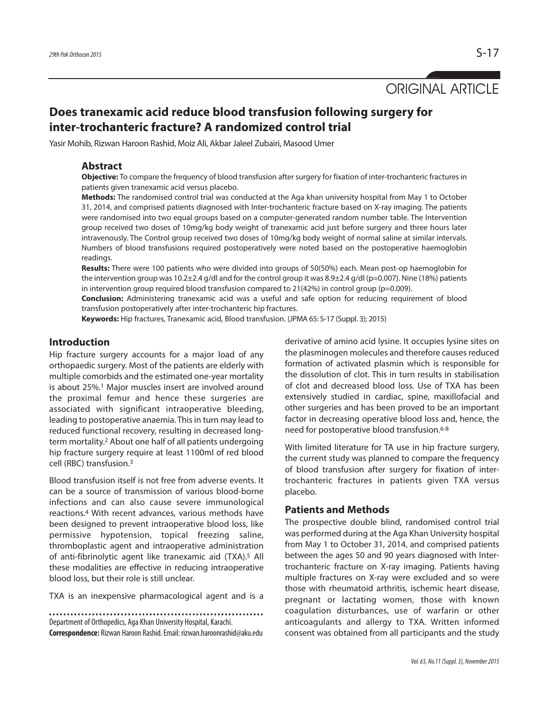# ORIGINAL ARTICLE

## **Does tranexamic acid reduce blood transfusion following surgery for inter-trochanteric fracture? A randomized control trial**

Yasir Mohib, Rizwan Haroon Rashid, Moiz Ali, Akbar Jaleel Zubairi, Masood Umer

### **Abstract**

**Objective:** To compare the frequency of blood transfusion after surgery for fixation of inter-trochanteric fractures in patients given tranexamic acid versus placebo.

**Methods:** The randomised control trial was conducted at the Aga khan university hospital from May 1 to October 31, 2014, and comprised patients diagnosed with Inter-trochanteric fracture based on X-ray imaging. The patients were randomised into two equal groups based on a computer-generated random number table. The Intervention group received two doses of 10mg/kg body weight of tranexamic acid just before surgery and three hours later intravenously. The Control group received two doses of 10mg/kg body weight of normal saline at similar intervals. Numbers of blood transfusions required postoperatively were noted based on the postoperative haemoglobin readings.

**Results:** There were 100 patients who were divided into groups of 50(50%) each. Mean post-op haemoglobin for the intervention group was 10.2±2.4 g/dl and for the control group it was 8.9±2.4 g/dl (p=0.007). Nine (18%) patients in intervention group required blood transfusion compared to  $21(42%)$  in control group (p=0.009).

**Conclusion:** Administering tranexamic acid was a useful and safe option for reducing requirement of blood transfusion postoperatively after inter-trochanteric hip fractures.

**Keywords:** Hip fractures, Tranexamic acid, Blood transfusion. (JPMA 65: S-17 (Suppl. 3); 2015)

### **Introduction**

Hip fracture surgery accounts for a major load of any orthopaedic surgery. Most of the patients are elderly with multiple comorbids and the estimated one-year mortality is about 25%. <sup>1</sup> Major muscles insert are involved around the proximal femur and hence these surgeries are associated with significant intraoperative bleeding, leading to postoperative anaemia. This in turn may lead to reduced functional recovery, resulting in decreased longterm mortality. <sup>2</sup> About one half of all patients undergoing hip fracture surgery require at least 1100ml of red blood cell (RBC) transfusion. 3

Blood transfusion itself is not free from adverse events. It can be a source of transmission of various blood-borne infections and can also cause severe immunological reactions. <sup>4</sup> With recent advances, various methods have been designed to prevent intraoperative blood loss, like permissive hypotension, topical freezing saline, thromboplastic agent and intraoperative administration of anti-fibrinolytic agent like tranexamic aid (TXA). <sup>5</sup> All these modalities are effective in reducing intraoperative blood loss, but their role is still unclear.

TXA is an inexpensive pharmacological agent and is a

Department of Orthopedics, Aga Khan University Hospital, Karachi.

**Correspondence:** Rizwan Haroon Rashid.Email: rizwan.haroonrashid@aku.edu

derivative of amino acid lysine. It occupies lysine sites on the plasminogen molecules and therefore causes reduced formation of activated plasmin which is responsible for the dissolution of clot. This in turn results in stabilisation of clot and decreased blood loss. Use of TXA has been extensively studied in cardiac, spine, maxillofacial and other surgeries and has been proved to be an important factor in decreasing operative blood loss and, hence, the need for postoperative blood transfusion. 6-8

With limited literature for TA use in hip fracture surgery, the current study was planned to compare the frequency of blood transfusion after surgery for fixation of intertrochanteric fractures in patients given TXA versus placebo.

### **Patients and Methods**

The prospective double blind, randomised control trial was performed during at the Aga Khan University hospital from May 1 to October 31, 2014, and comprised patients between the ages 50 and 90 years diagnosed with Intertrochanteric fracture on X-ray imaging. Patients having multiple fractures on X-ray were excluded and so were those with rheumatoid arthritis, ischemic heart disease, pregnant or lactating women, those with known coagulation disturbances, use of warfarin or other anticoagulants and allergy to TXA. Written informed consent was obtained from all participants and the study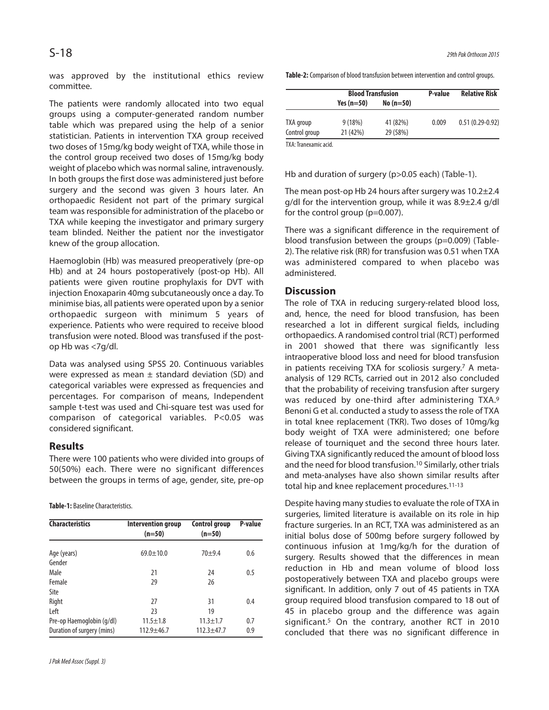was approved by the institutional ethics review committee.

The patients were randomly allocated into two equal groups using a computer-generated random number table which was prepared using the help of a senior statistician. Patients in intervention TXA group received two doses of 15mg/kg body weight of TXA, while those in the control group received two doses of 15mg/kg body weight of placebo which was normal saline, intravenously. In both groups the first dose was administered just before surgery and the second was given 3 hours later. An orthopaedic Resident not part of the primary surgical team was responsible for administration of the placebo or TXA while keeping the investigator and primary surgery team blinded. Neither the patient nor the investigator knew of the group allocation.

Haemoglobin (Hb) was measured preoperatively (pre-op Hb) and at 24 hours postoperatively (post-op Hb). All patients were given routine prophylaxis for DVT with injection Enoxaparin 40mg subcutaneously once a day. To minimise bias, all patients were operated upon by a senior orthopaedic surgeon with minimum 5 years of experience. Patients who were required to receive blood transfusion were noted. Blood was transfused if the postop Hb was <7g/dl.

Data was analysed using SPSS 20. Continuous variables were expressed as mean  $\pm$  standard deviation (SD) and categorical variables were expressed as frequencies and percentages. For comparison of means, Independent sample t-test was used and Chi-square test was used for comparison of categorical variables. P<0.05 was considered significant.

### **Results**

There were 100 patients who were divided into groups of 50(50%) each. There were no significant differences between the groups in terms of age, gender, site, pre-op

**Table-1: Baseline Characteristics.** 

| <b>Characteristics</b>     | Intervention group<br>$(n=50)$ | <b>Control group</b><br>$(n=50)$ | P-value |
|----------------------------|--------------------------------|----------------------------------|---------|
| Age (years)<br>Gender      | $69.0 \pm 10.0$                | $70 + 9.4$                       | 0.6     |
| Male                       | 21                             | 24                               | 0.5     |
| Female                     | 29                             | 26                               |         |
| Site                       |                                |                                  |         |
| Right                      | 27                             | 31                               | 0.4     |
| Left                       | 23                             | 19                               |         |
| Pre-op Haemoglobin (g/dl)  | $11.5 \pm 1.8$                 | $11.3 + 1.7$                     | 0.7     |
| Duration of surgery (mins) | $112.9 + 46.7$                 | $112.3 + 47.7$                   | 0.9     |

**Table-2:** Comparison of blood transfusion between intervention and control groups.

|                       | <b>Blood Transfusion</b> |            | P-value | <b>Relative Risk</b> |  |
|-----------------------|--------------------------|------------|---------|----------------------|--|
|                       | Yes $(n=50)$             | $No(n=50)$ |         |                      |  |
| TXA group             | 9(18%)                   | 41 (82%)   | 0.009   | $0.51(0.29-0.92)$    |  |
| Control group         | 21 (42%)                 | 29 (58%)   |         |                      |  |
| TXA: Tranexamic acid. |                          |            |         |                      |  |

Hb and duration of surgery (p>0.05 each) (Table-1).

The mean post-op Hb 24 hours after surgery was 10.2±2.4 g/dl for the intervention group, while it was 8.9±2.4 g/dl for the control group (p=0.007).

There was a significant difference in the requirement of blood transfusion between the groups (p=0.009) (Table-2). The relative risk (RR) for transfusion was 0.51 when TXA was administered compared to when placebo was administered.

### **Discussion**

The role of TXA in reducing surgery-related blood loss, and, hence, the need for blood transfusion, has been researched a lot in different surgical fields, including orthopaedics. A randomised control trial (RCT) performed in 2001 showed that there was significantly less intraoperative blood loss and need for blood transfusion in patients receiving TXA for scoliosis surgery. <sup>7</sup> A metaanalysis of 129 RCTs, carried out in 2012 also concluded that the probability of receiving transfusion after surgery was reduced by one-third after administering TXA.<sup>9</sup> Benoni G et al. conducted a study to assess the role of TXA in total knee replacement (TKR). Two doses of 10mg/kg body weight of TXA were administered; one before release of tourniquet and the second three hours later. Giving TXA significantly reduced the amount of blood loss and the need for blood transfusion. <sup>10</sup> Similarly, other trials and meta-analyses have also shown similar results after total hip and knee replacement procedures. 11-13

Despite having many studies to evaluate the role of TXA in surgeries, limited literature is available on its role in hip fracture surgeries. In an RCT, TXA was administered as an initial bolus dose of 500mg before surgery followed by continuous infusion at 1mg/kg/h for the duration of surgery. Results showed that the differences in mean reduction in Hb and mean volume of blood loss postoperatively between TXA and placebo groups were significant. In addition, only 7 out of 45 patients in TXA group required blood transfusion compared to 18 out of 45 in placebo group and the difference was again significant. <sup>5</sup> On the contrary, another RCT in 2010 concluded that there was no significant difference in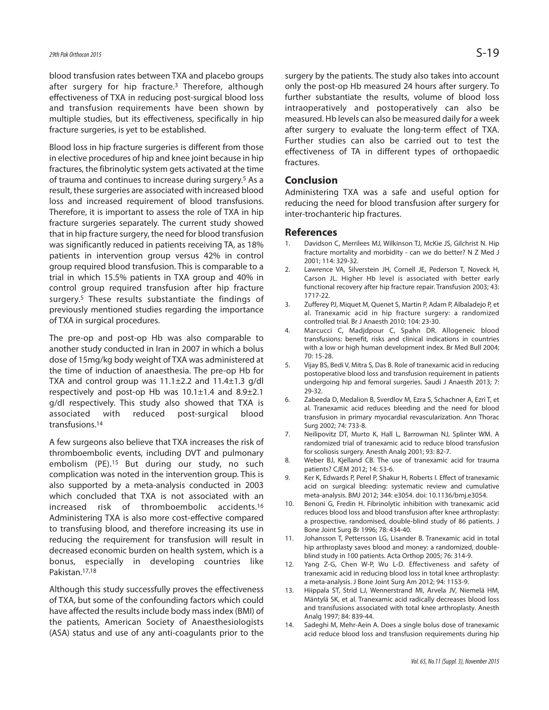blood transfusion rates between TXA and placebo groups after surgery for hip fracture. <sup>3</sup> Therefore, although effectiveness of TXA in reducing post-surgical blood loss and transfusion requirements have been shown by multiple studies, but its effectiveness, specifically in hip fracture surgeries, is yet to be established.

Blood loss in hip fracture surgeries is different from those in elective procedures of hip and knee joint because in hip fractures, the fibrinolytic system gets activated at the time of trauma and continues to increase during surgery. <sup>5</sup> As a result, these surgeries are associated with increased blood loss and increased requirement of blood transfusions. Therefore, it is important to assess the role of TXA in hip fracture surgeries separately. The current study showed that in hip fracture surgery, the need for blood transfusion was significantly reduced in patients receiving TA, as 18% patients in intervention group versus 42% in control group required blood transfusion. This is comparable to a trial in which 15.5% patients in TXA group and 40% in control group required transfusion after hip fracture surgery. <sup>5</sup> These results substantiate the findings of previously mentioned studies regarding the importance of TXA in surgical procedures.

The pre-op and post-op Hb was also comparable to another study conducted in Iran in 2007 in which a bolus dose of 15mg/kg body weight of TXA was administered at the time of induction of anaesthesia. The pre-op Hb for TXA and control group was  $11.1 \pm 2.2$  and  $11.4 \pm 1.3$  g/dl respectively and post-op Hb was  $10.1 \pm 1.4$  and  $8.9 \pm 2.1$ g/dl respectively. This study also showed that TXA is associated with reduced post-surgical blood transfusions. 14

A few surgeons also believe that TXA increases the risk of thromboembolic events, including DVT and pulmonary embolism (PE). <sup>15</sup> But during our study, no such complication was noted in the intervention group. This is also supported by a meta-analysis conducted in 2003 which concluded that TXA is not associated with an increased risk of thromboembolic accidents. 16 Administering TXA is also more cost-effective compared to transfusing blood, and therefore increasing its use in reducing the requirement for transfusion will result in decreased economic burden on health system, which is a bonus, especially in developing countries like Pakistan. 17,18

Although this study successfully proves the effectiveness of TXA, but some of the confounding factors which could have affected the results include body mass index (BMI) of the patients, American Society of Anaesthesiologists (ASA) status and use of any anti-coagulants prior to the

surgery by the patients. The study also takes into account only the post-op Hb measured 24 hours after surgery. To further substantiate the results, volume of blood loss intraoperatively and postoperatively can also be measured. Hb levels can also be measured daily for a week after surgery to evaluate the long-term effect of TXA. Further studies can also be carried out to test the effectiveness of TA in different types of orthopaedic fractures.

### **Conclusion**

Administering TXA was a safe and useful option for reducing the need for blood transfusion after surgery for inter-trochanteric hip fractures.

### **References**

- Davidson C, Merrilees MJ, Wilkinson TJ, McKie JS, Gilchrist N. Hip fracture mortality and morbidity - can we do better? N Z Med J 2001; 114: 329-32.
- 2. Lawrence VA, Silverstein JH, Cornell JE, Pederson T, Noveck H, Carson JL. Higher Hb level is associated with better early functional recovery after hip fracture repair. Transfusion 2003; 43: 1717-22.
- 3. Zufferey PJ, Miquet M, Quenet S, Martin P, Adam P, Albaladejo P, et al. Tranexamic acid in hip fracture surgery: a randomized controlled trial. Br J Anaesth 2010; 104: 23-30.
- 4. Marcucci C, Madjdpour C, Spahn DR. Allogeneic blood transfusions: benefit, risks and clinical indications in countries with a low or high human development index. Br Med Bull 2004; 70: 15-28.
- 5. Vijay BS, Bedi V, Mitra S, Das B. Role of tranexamic acid in reducing postoperative blood loss and transfusion requirement in patients undergoing hip and femoral surgeries. Saudi J Anaesth 2013; 7: 29-32.
- 6. Zabeeda D, Medalion B, Sverdlov M, Ezra S, Schachner A, Ezri T, et al. Tranexamic acid reduces bleeding and the need for blood transfusion in primary myocardial revascularization. Ann Thorac Surg 2002; 74: 733-8.
- 7. Neilipovitz DT, Murto K, Hall L, Barrowman NJ, Splinter WM. A randomized trial of tranexamic acid to reduce blood transfusion for scoliosis surgery. Anesth Analg 2001; 93: 82-7.
- 8. Weber BJ, Kjelland CB. The use of tranexamic acid for trauma patients? CJEM 2012; 14: 53-6.
- 9. Ker K, Edwards P, Perel P, Shakur H, Roberts I. Effect of tranexamic acid on surgical bleeding: systematic review and cumulative meta-analysis. BMJ 2012; 344: e3054. doi: 10.1136/bmj.e3054.
- 10. Benoni G, Fredin H. Fibrinolytic inhibition with tranexamic acid reduces blood loss and blood transfusion after knee arthroplasty: a prospective, randomised, double-blind study of 86 patients. J Bone Joint Surg Br 1996; 78: 434-40.
- 11. Johansson T, Pettersson LG, Lisander B. Tranexamic acid in total hip arthroplasty saves blood and money: a randomized, doubleblind study in 100 patients. Acta Orthop 2005; 76: 314-9.
- 12. Yang Z-G, Chen W-P, Wu L-D. Effectiveness and safety of tranexamic acid in reducing blood loss in total knee arthroplasty: a meta-analysis. J Bone Joint Surg Am 2012; 94: 1153-9.
- 13. Hiippala ST, Strid LJ, Wennerstrand MI, Arvela JV, Niemelä HM, Mäntylä SK, et al. Tranexamic acid radically decreases blood loss and transfusions associated with total knee arthroplasty. Anesth Analg 1997; 84: 839-44.
- 14. Sadeghi M, Mehr-Aein A. Does a single bolus dose of tranexamic acid reduce blood loss and transfusion requirements during hip